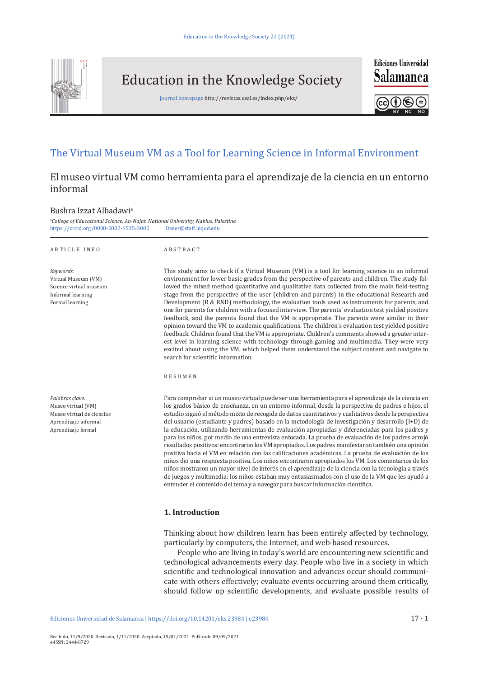

Education in the Knowledge Society

journal homepage http://revistas.usal.es/index.php/eks/



**Ediciones Universidad** 

# The Virtual Museum VM as a Tool for Learning Science in Informal Environment

# El museo virtual VM como herramienta para el aprendizaje de la ciencia en un entorno informal

#### Bushra Izzat Albadawi<sup>a</sup>

a *College of Educational Science, An-Najah National University, Nablus, Palestine.* <https://orcid.org/0000-0002-6535-3005> [Bzeer@staff.alqud.edu](mailto:Bzeer@staff.alqud.edu)

| ARTICLE INFO                                                                                                     | ABSTRACT                                                                                                                                                                                                                                                                                                                                                                                                                                                                                                                                                                                                                                                                                                                                                                                                                                                                                                                                                                                                                                                                                                                                                                                                                                    |  |
|------------------------------------------------------------------------------------------------------------------|---------------------------------------------------------------------------------------------------------------------------------------------------------------------------------------------------------------------------------------------------------------------------------------------------------------------------------------------------------------------------------------------------------------------------------------------------------------------------------------------------------------------------------------------------------------------------------------------------------------------------------------------------------------------------------------------------------------------------------------------------------------------------------------------------------------------------------------------------------------------------------------------------------------------------------------------------------------------------------------------------------------------------------------------------------------------------------------------------------------------------------------------------------------------------------------------------------------------------------------------|--|
| Keywords:<br>Virtual Museum (VM)<br>Science virtual museum<br>Informal learning<br>Formal learning               | This study aims to check if a Virtual Museum (VM) is a tool for learning science in an informal<br>environment for lower basic grades from the perspective of parents and children. The study fol-<br>lowed the mixed method quantitative and qualitative data collected from the main field-testing<br>stage from the perspective of the user (children and parents) in the educational Research and<br>Development (R & R&D) methodology, the evaluation tools used as instruments for parents, and<br>one for parents for children with a focused interview. The parents' evaluation test yielded positive<br>feedback, and the parents found that the VM is appropriate. The parents were similar in their<br>opinion toward the VM to academic qualifications. The children's evaluation test yielded positive<br>feedback. Children found that the VM is appropriate. Children's comments showed a greater inter-<br>est level in learning science with technology through gaming and multimedia. They were very<br>excited about using the VM, which helped them understand the subject content and navigate to<br>search for scientific information.                                                                                |  |
|                                                                                                                  | <b>RESUMEN</b>                                                                                                                                                                                                                                                                                                                                                                                                                                                                                                                                                                                                                                                                                                                                                                                                                                                                                                                                                                                                                                                                                                                                                                                                                              |  |
| Palabras clave:<br>Museo virtual (VM)<br>Museo virtual de ciencias<br>Aprendizaje informal<br>Aprendizaje formal | Para comprobar si un museo virtual puede ser una herramienta para el aprendizaje de la ciencia en<br>los grados básico de enseñanza, en un entorno informal, desde la perspectiva de padres e hijos, el<br>estudio siguió el método mixto de recogida de datos cuantitativos y cualitativos desde la perspectiva<br>del usuario (estudiante y padres) basado en la metodología de investigación y desarrollo (I+D) de<br>la educación, utilizando herramientas de evaluación apropiadas y diferenciadas para los padres y<br>para los niños, por medio de una entrevista enfocada. La prueba de evaluación de los padres arrojó<br>resultados positivos: encontraron los VM apropiados. Los padres manifestaron también una opinión<br>positiva hacia el VM en relación con las calificaciones académicas. La prueba de evaluación de los<br>niños dio una respuesta positiva. Los niños encontraron apropiados los VM. Los comentarios de los<br>niños mostraron un mayor nivel de interés en el aprendizaje de la ciencia con la tecnología a través<br>de juegos y multimedia: los niños estaban muy entusiasmados con el uso de la VM que les ayudó a<br>entender el contenido del tema y a navegar para buscar información científica. |  |
|                                                                                                                  | .                                                                                                                                                                                                                                                                                                                                                                                                                                                                                                                                                                                                                                                                                                                                                                                                                                                                                                                                                                                                                                                                                                                                                                                                                                           |  |

#### **1. Introduction**

Thinking about how children learn has been entirely affected by technology, particularly by computers, the Internet, and web-based resources.

People who are living in today's world are encountering new scientific and technological advancements every day. People who live in a society in which scientific and technological innovation and advances occur should communicate with others effectively; evaluate events occurring around them critically, should follow up scientific developments, and evaluate possible results of

Ediciones Universidad de Salamanca | [https://doi.org/10.14201/eks.2](https://doi.org/10.14201/eks.23897)3984 | e23984 17 - 1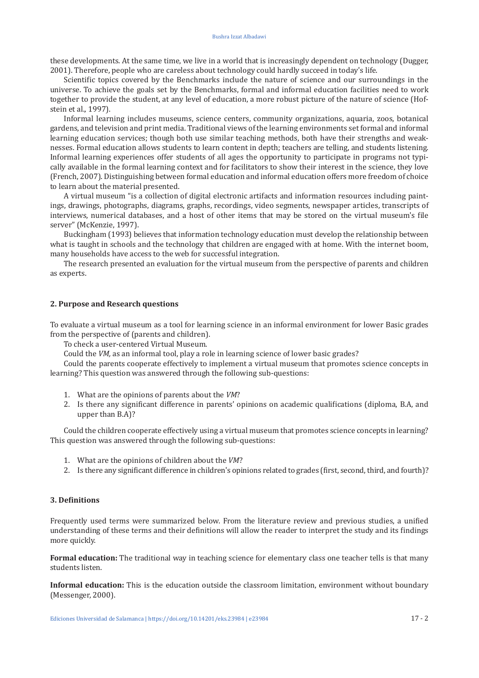these developments. At the same time, we live in a world that is increasingly dependent on technology (Dugger, 2001). Therefore, people who are careless about technology could hardly succeed in today's life.

Scientific topics covered by the Benchmarks include the nature of science and our surroundings in the universe. To achieve the goals set by the Benchmarks, formal and informal education facilities need to work together to provide the student, at any level of education, a more robust picture of the nature of science (Hofstein et al.*,* 1997).

Informal learning includes museums, science centers, community organizations, aquaria, zoos, botanical gardens, and television and print media. Traditional views of the learning environments set formal and informal learning education services; though both use similar teaching methods, both have their strengths and weaknesses. Formal education allows students to learn content in depth; teachers are telling, and students listening. Informal learning experiences offer students of all ages the opportunity to participate in programs not typically available in the formal learning context and for facilitators to show their interest in the science, they love (French, 2007). Distinguishing between formal education and informal education offers more freedom of choice to learn about the material presented.

A virtual museum "is a collection of digital electronic artifacts and information resources including paintings, drawings, photographs, diagrams, graphs, recordings, video segments, newspaper articles, transcripts of interviews, numerical databases, and a host of other items that may be stored on the virtual museum's file server" (McKenzie, 1997).

Buckingham (1993) believes that information technology education must develop the relationship between what is taught in schools and the technology that children are engaged with at home. With the internet boom, many households have access to the web for successful integration.

The research presented an evaluation for the virtual museum from the perspective of parents and children as experts.

#### **2. Purpose and Research questions**

To evaluate a virtual museum as a tool for learning science in an informal environment for lower Basic grades from the perspective of (parents and children).

To check a user-centered Virtual Museum.

Could the *VM,* as an informal tool, play a role in learning science of lower basic grades?

Could the parents cooperate effectively to implement a virtual museum that promotes science concepts in learning? This question was answered through the following sub-questions:

- 1. What are the opinions of parents about the *VM*?
- 2. Is there any significant difference in parents' opinions on academic qualifications (diploma, B.A, and upper than B.A)?

Could the children cooperate effectively using a virtual museum that promotes science concepts in learning? This question was answered through the following sub-questions:

- 1. What are the opinions of children about the *VM*?
- 2. Is there any significant difference in children's opinions related to grades (first, second, third, and fourth)?

## **3. Definitions**

Frequently used terms were summarized below. From the literature review and previous studies, a unified understanding of these terms and their definitions will allow the reader to interpret the study and its findings more quickly.

**Formal education:** The traditional way in teaching science for elementary class one teacher tells is that many students listen.

**Informal education:** This is the education outside the classroom limitation, environment without boundary (Messenger, 2000).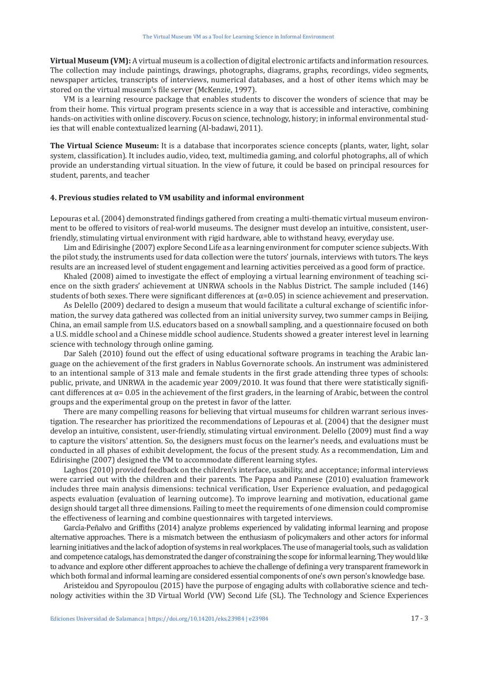**Virtual Museum (VM):** A virtual museum is a collection of digital electronic artifacts and information resources. The collection may include paintings, drawings, photographs, diagrams, graphs, recordings, video segments, newspaper articles, transcripts of interviews, numerical databases, and a host of other items which may be stored on the virtual museum's file server (McKenzie, 1997).

VM is a learning resource package that enables students to discover the wonders of science that may be from their home. This virtual program presents science in a way that is accessible and interactive, combining hands-on activities with online discovery. Focus on science, technology, history; in informal environmental studies that will enable contextualized learning (Al-badawi, 2011).

**The Virtual Science Museum:** It is a database that incorporates science concepts (plants, water, light, solar system, classification). It includes audio, video, text, multimedia gaming, and colorful photographs, all of which provide an understanding virtual situation. In the view of future, it could be based on principal resources for student, parents, and teacher

#### **4. Previous studies related to VM usability and informal environment**

Lepouras et al. (2004) demonstrated findings gathered from creating a multi-thematic virtual museum environment to be offered to visitors of real-world museums. The designer must develop an intuitive, consistent, userfriendly, stimulating virtual environment with rigid hardware, able to withstand heavy, everyday use.

Lim and Edirisinghe (2007) explore Second Life as a learning environment for computer science subjects. With the pilot study, the instruments used for data collection were the tutors' journals, interviews with tutors. The keys results are an increased level of student engagement and learning activities perceived as a good form of practice.

Khaled (2008) aimed to investigate the effect of employing a virtual learning environment of teaching science on the sixth graders' achievement at UNRWA schools in the Nablus District. The sample included (146) students of both sexes. There were significant differences at  $(\alpha=0.05)$  in science achievement and preservation.

As Delello (2009) declared to design a museum that would facilitate a cultural exchange of scientific information, the survey data gathered was collected from an initial university survey, two summer camps in Beijing, China, an email sample from U.S. educators based on a snowball sampling, and a questionnaire focused on both a U.S. middle school and a Chinese middle school audience. Students showed a greater interest level in learning science with technology through online gaming.

Dar Saleh (2010) found out the effect of using educational software programs in teaching the Arabic language on the achievement of the first graders in Nablus Governorate schools. An instrument was administered to an intentional sample of 313 male and female students in the first grade attending three types of schools: public, private, and UNRWA in the academic year 2009/2010. It was found that there were statistically significant differences at  $\alpha$  = 0.05 in the achievement of the first graders, in the learning of Arabic, between the control groups and the experimental group on the pretest in favor of the latter.

There are many compelling reasons for believing that virtual museums for children warrant serious investigation. The researcher has prioritized the recommendations of Lepouras et al. (2004) that the designer must develop an intuitive, consistent, user-friendly, stimulating virtual environment. Delello (2009) must find a way to capture the visitors' attention. So, the designers must focus on the learner's needs, and evaluations must be conducted in all phases of exhibit development, the focus of the present study. As a recommendation, Lim and Edirisinghe (2007) designed the VM to accommodate different learning styles.

Laghos (2010) provided feedback on the children's interface, usability, and acceptance; informal interviews were carried out with the children and their parents. The Pappa and Pannese (2010) evaluation framework includes three main analysis dimensions: technical verification, User Experience evaluation, and pedagogical aspects evaluation (evaluation of learning outcome). To improve learning and motivation, educational game design should target all three dimensions. Failing to meet the requirements of one dimension could compromise the effectiveness of learning and combine questionnaires with targeted interviews.

García-Peñalvo and Griffiths (2014) analyze problems experienced by validating informal learning and propose alternative approaches. There is a mismatch between the enthusiasm of policymakers and other actors for informal learning initiatives and the lack of adoption of systems in real workplaces. The use of managerial tools, such as validation and competence catalogs, has demonstrated the danger of constraining the scope for informal learning. They would like to advance and explore other different approaches to achieve the challenge of defining a very transparent framework in which both formal and informal learning are considered essential components of one's own person's knowledge base.

Aristeidou and Spyropoulou (2015) have the purpose of engaging adults with collaborative science and technology activities within the 3D Virtual World (VW) Second Life (SL). The Technology and Science Experiences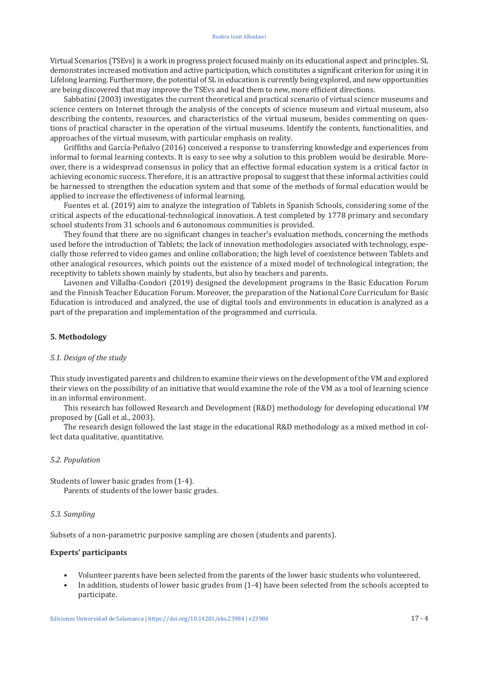#### Bushra Izzat Albadawi

Virtual Scenarios (TSEvs) is a work in progress project focused mainly on its educational aspect and principles. SL demonstrates increased motivation and active participation, which constitutes a significant criterion for using it in Lifelong learning. Furthermore, the potential of SL in education is currently being explored, and new opportunities are being discovered that may improve the TSEvs and lead them to new, more efficient directions.

Sabbatini (2003) investigates the current theoretical and practical scenario of virtual science museums and science centers on Internet through the analysis of the concepts of science museum and virtual museum, also describing the contents, resources, and characteristics of the virtual museum, besides commenting on questions of practical character in the operation of the virtual museums. Identify the contents, functionalities, and approaches of the virtual museum, with particular emphasis on reality.

Griffiths and García-Peñalvo (2016) conceived a response to transferring knowledge and experiences from informal to formal learning contexts. It is easy to see why a solution to this problem would be desirable. Moreover, there is a widespread consensus in policy that an effective formal education system is a critical factor in achieving economic success. Therefore, it is an attractive proposal to suggest that these informal activities could be harnessed to strengthen the education system and that some of the methods of formal education would be applied to increase the effectiveness of informal learning.

Fuentes et al. (2019) aim to analyze the integration of Tablets in Spanish Schools, considering some of the critical aspects of the educational-technological innovation. A test completed by 1778 primary and secondary school students from 31 schools and 6 autonomous communities is provided.

They found that there are no significant changes in teacher's evaluation methods, concerning the methods used before the introduction of Tablets; the lack of innovation methodologies associated with technology, especially those referred to video games and online collaboration; the high level of coexistence between Tablets and other analogical resources, which points out the existence of a mixed model of technological integration; the receptivity to tablets shown mainly by students, but also by teachers and parents.

Lavonen and Villalba-Condori (2019) designed the development programs in the Basic Education Forum and the Finnish Teacher Education Forum. Moreover, the preparation of the National Core Curriculum for Basic Education is introduced and analyzed, the use of digital tools and environments in education is analyzed as a part of the preparation and implementation of the programmed and curricula.

#### **5. Methodology**

# *5.1. Design of the study*

This study investigated parents and children to examine their views on the development of the VM and explored their views on the possibility of an initiative that would examine the role of the VM as a tool of learning science in an informal environment.

This research has followed Research and Development (R&D) methodology for developing educational *VM*  proposed by (Gall et al., 2003).

The research design followed the last stage in the educational R&D methodology as a mixed method in collect data qualitative, quantitative.

#### *5.2. Population*

Students of lower basic grades from (1-4). Parents of students of the lower basic grades.

#### *5.3. Sampling*

Subsets of a non-parametric purposive sampling are chosen (students and parents).

#### **Experts' participants**

- Volunteer parents have been selected from the parents of the lower basic students who volunteered.
- In addition, students of lower basic grades from (1-4) have been selected from the schools accepted to participate.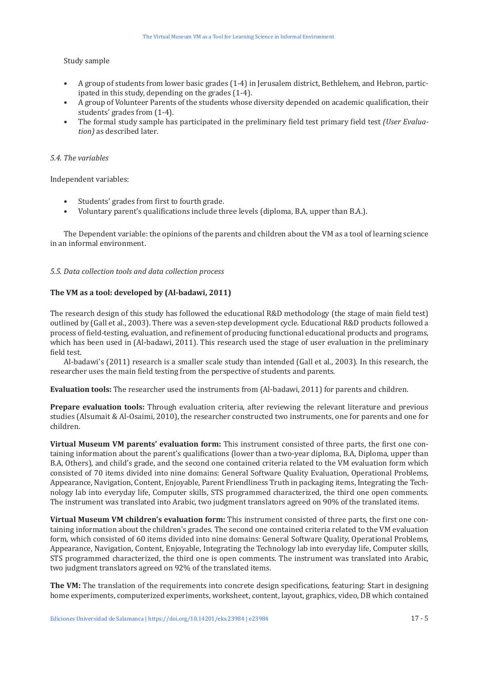## Study sample

- A group of students from lower basic grades (1-4) in Jerusalem district, Bethlehem, and Hebron, participated in this study, depending on the grades (1-4).
- A group of Volunteer Parents of the students whose diversity depended on academic qualification, their students' grades from (1-4).
- The formal study sample has participated in the preliminary field test primary field test *(User Evaluation)* as described later*.*

#### *5.4. The variables*

Independent variables:

- Students' grades from first to fourth grade.<br>• Voluntary parent's qualifications include the
- Voluntary parent's qualifications include three levels (diploma, B.A, upper than B.A.).

The Dependent variable: the opinions of the parents and children about the VM as a tool of learning science in an informal environment.

## *5.5. Data collection tools and data collection process*

## **The VM as a tool: developed by (Al-badawi, 2011)**

The research design of this study has followed the educational R&D methodology (the stage of main field test) outlined by (Gall et al., 2003). There was a seven-step development cycle. Educational R&D products followed a process of field-testing, evaluation, and refinement of producing functional educational products and programs, which has been used in (Al-badawi, 2011). This research used the stage of user evaluation in the preliminary field test.

Al-badawi's (2011) research is a smaller scale study than intended (Gall et al., 2003). In this research, the researcher uses the main field testing from the perspective of students and parents.

**Evaluation tools:** The researcher used the instruments from (Al-badawi, 2011) for parents and children.

**Prepare evaluation tools:** Through evaluation criteria, after reviewing the relevant literature and previous studies (Alsumait & Al-Osaimi, 2010), the researcher constructed two instruments, one for parents and one for children.

**Virtual Museum VM parents' evaluation form:** This instrument consisted of three parts, the first one containing information about the parent's qualifications (lower than a two-year diploma, B.A, Diploma, upper than B.A, Others), and child's grade, and the second one contained criteria related to the VM evaluation form which consisted of 70 items divided into nine domains: General Software Quality Evaluation, Operational Problems, Appearance, Navigation, Content, Enjoyable, Parent Friendliness Truth in packaging items, Integrating the Technology lab into everyday life, Computer skills, STS programmed characterized, the third one open comments. The instrument was translated into Arabic, two judgment translators agreed on 90% of the translated items.

**Virtual Museum VM children's evaluation form:** This instrument consisted of three parts, the first one containing information about the children's grades. The second one contained criteria related to the VM evaluation form, which consisted of 60 items divided into nine domains: General Software Quality, Operational Problems, Appearance, Navigation, Content, Enjoyable, Integrating the Technology lab into everyday life, Computer skills, STS programmed characterized, the third one is open comments. The instrument was translated into Arabic, two judgment translators agreed on 92% of the translated items.

**The VM:** The translation of the requirements into concrete design specifications, featuring: Start in designing home experiments, computerized experiments, worksheet, content, layout, graphics, video, DB which contained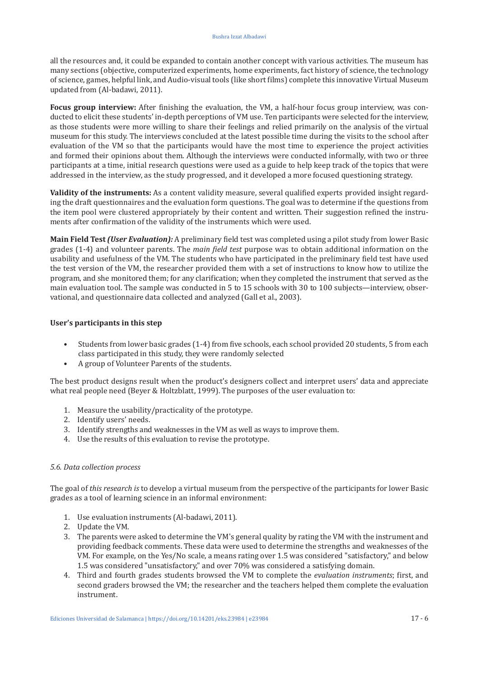all the resources and, it could be expanded to contain another concept with various activities. The museum has many sections (objective, computerized experiments, home experiments, fact history of science, the technology of science, games, helpful link, and Audio-visual tools (like short films) complete this innovative Virtual Museum updated from (Al-badawi, 2011).

**Focus group interview:** After finishing the evaluation, the VM, a half-hour focus group interview, was conducted to elicit these students' in-depth perceptions of VM use. Ten participants were selected for the interview, as those students were more willing to share their feelings and relied primarily on the analysis of the virtual museum for this study. The interviews concluded at the latest possible time during the visits to the school after evaluation of the VM so that the participants would have the most time to experience the project activities and formed their opinions about them. Although the interviews were conducted informally, with two or three participants at a time, initial research questions were used as a guide to help keep track of the topics that were addressed in the interview, as the study progressed, and it developed a more focused questioning strategy.

**Validity of the instruments:** As a content validity measure, several qualified experts provided insight regarding the draft questionnaires and the evaluation form questions. The goal was to determine if the questions from the item pool were clustered appropriately by their content and written. Their suggestion refined the instruments after confirmation of the validity of the instruments which were used.

**Main Field Test** *(User Evaluation):* A preliminary field test was completed using a pilot study from lower Basic grades (1-4) and volunteer parents. The *main field test* purpose was to obtain additional information on the usability and usefulness of the VM. The students who have participated in the preliminary field test have used the test version of the VM, the researcher provided them with a set of instructions to know how to utilize the program, and she monitored them; for any clarification; when they completed the instrument that served as the main evaluation tool. The sample was conducted in 5 to 15 schools with 30 to 100 subjects—interview, observational, and questionnaire data collected and analyzed (Gall et al., 2003).

## **User's participants in this step**

- Students from lower basic grades (1-4) from five schools, each school provided 20 students, 5 from each class participated in this study, they were randomly selected
- A group of Volunteer Parents of the students.

The best product designs result when the product's designers collect and interpret users' data and appreciate what real people need (Beyer & Holtzblatt, 1999). The purposes of the user evaluation to:

- 1. Measure the usability/practicality of the prototype.
- 2. Identify users' needs.
- 3. Identify strengths and weaknesses in the VM as well as ways to improve them.
- 4. Use the results of this evaluation to revise the prototype.

## *5.6. Data collection process*

The goal of *this research is* to develop a virtual museum from the perspective of the participants for lower Basic grades as a tool of learning science in an informal environment:

- 1. Use evaluation instruments (Al-badawi, 2011).
- 2. Update the VM.
- 3. The parents were asked to determine the VM's general quality by rating the VM with the instrument and providing feedback comments. These data were used to determine the strengths and weaknesses of the VM. For example, on the Yes/No scale, a means rating over 1.5 was considered "satisfactory," and below 1.5 was considered "unsatisfactory," and over 70% was considered a satisfying domain.
- 4. Third and fourth grades students browsed the VM to complete the *evaluation instruments*; first, and second graders browsed the VM; the researcher and the teachers helped them complete the evaluation instrument.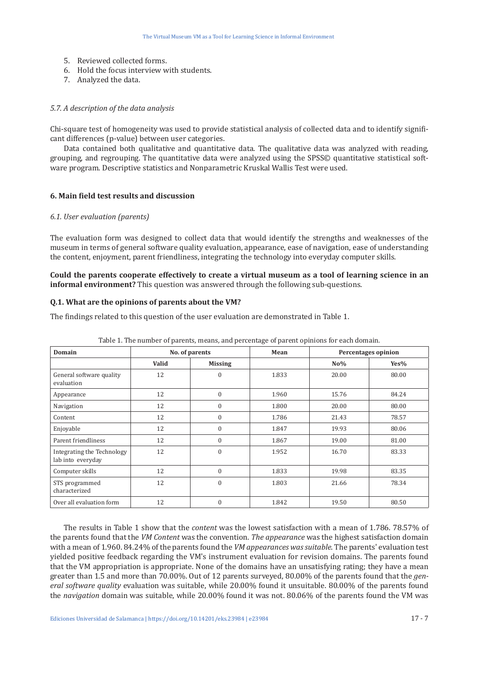- 5. Reviewed collected forms.
- 6. Hold the focus interview with students.
- 7. Analyzed the data.

#### *5.7. A description of the data analysis*

Chi-square test of homogeneity was used to provide statistical analysis of collected data and to identify significant differences (p-value) between user categories.

Data contained both qualitative and quantitative data. The qualitative data was analyzed with reading, grouping, and regrouping. The quantitative data were analyzed using the SPSS© quantitative statistical software program. Descriptive statistics and Nonparametric Kruskal Wallis Test were used.

#### **6. Main field test results and discussion**

#### *6.1. User evaluation (parents)*

The evaluation form was designed to collect data that would identify the strengths and weaknesses of the museum in terms of general software quality evaluation, appearance, ease of navigation, ease of understanding the content, enjoyment, parent friendliness, integrating the technology into everyday computer skills*.*

**Could the parents cooperate effectively to create a virtual museum as a tool of learning science in an informal environment?** This question was answered through the following sub-questions.

#### **Q.1. What are the opinions of parents about the VM?**

The findings related to this question of the user evaluation are demonstrated in Table 1.

| <b>Domain</b>                                   | No. of parents |                | Mean  | <b>Percentages opinion</b> |         |
|-------------------------------------------------|----------------|----------------|-------|----------------------------|---------|
|                                                 | Valid          | <b>Missing</b> |       | $No\%$                     | $Yes\%$ |
| General software quality<br>evaluation          | 12             | $\theta$       | 1.833 | 20.00                      | 80.00   |
| Appearance                                      | 12             | $\mathbf{0}$   | 1.960 | 15.76                      | 84.24   |
| Navigation                                      | 12             | $\mathbf{0}$   | 1.800 | 20.00                      | 80.00   |
| Content                                         | 12             | $\mathbf{0}$   | 1.786 | 21.43                      | 78.57   |
| Enjoyable                                       | 12             | $\Omega$       | 1.847 | 19.93                      | 80.06   |
| Parent friendliness                             | 12             | $\mathbf{0}$   | 1.867 | 19.00                      | 81.00   |
| Integrating the Technology<br>lab into everyday | 12             | $\theta$       | 1.952 | 16.70                      | 83.33   |
| Computer skills                                 | 12             | $\theta$       | 1.833 | 19.98                      | 83.35   |
| STS programmed<br>characterized                 | 12             | $\Omega$       | 1.803 | 21.66                      | 78.34   |
| Over all evaluation form                        | 12             | $\mathbf{0}$   | 1.842 | 19.50                      | 80.50   |

Table 1. The number of parents, means, and percentage of parent opinions for each domain.

The results in Table 1 show that the *content* was the lowest satisfaction with a mean of 1.786. 78.57% of the parents found that the *VM Content* was the convention. *The appearance* was the highest satisfaction domain with a mean of 1.960. 84.24% of the parents found the *VM appearances was suitable*. The parents' evaluation test yielded positive feedback regarding the VM's instrument evaluation for revision domains. The parents found that the VM appropriation is appropriate. None of the domains have an unsatisfying rating; they have a mean greater than 1.5 and more than 70.00%. Out of 12 parents surveyed, 80.00% of the parents found that the *general software quality* evaluation was suitable, while 20.00% found it unsuitable. 80.00% of the parents found the *navigation* domain was suitable, while 20.00% found it was not. 80.06% of the parents found the VM was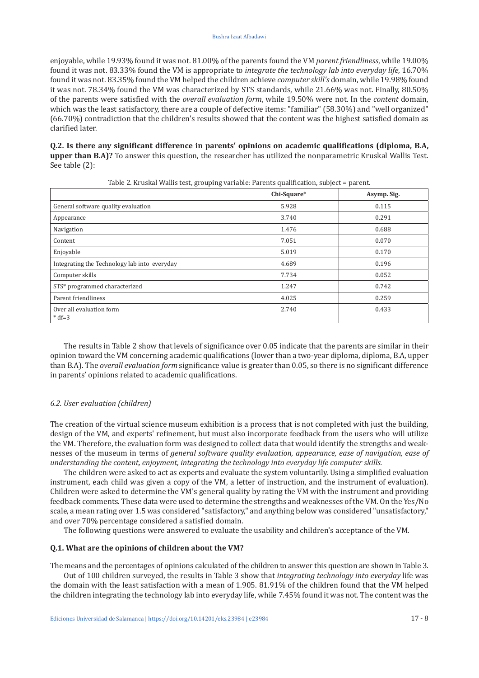enjoyable, while 19.93% found it was not. 81.00% of the parents found the VM *parent friendliness*, while 19.00% found it was not. 83.33% found the VM is appropriate to *integrate the technology lab into everyday life*, 16.70% found it was not. 83.35% found the VM helped the children achieve *computer skill's* domain, while 19.98% found it was not. 78.34% found the VM was characterized by STS standards, while 21.66% was not. Finally, 80.50% of the parents were satisfied with the *overall evaluation form*, while 19.50% were not. In the *content* domain, which was the least satisfactory, there are a couple of defective items: "familiar" (58.30%) and "well organized" (66.70%) contradiction that the children's results showed that the content was the highest satisfied domain as clarified later.

**Q.2. Is there any significant difference in parents' opinions on academic qualifications (diploma, B.A, upper than B.A)?** To answer this question, the researcher has utilized the nonparametric Kruskal Wallis Test. See table (2):

|                                              | Chi-Square* | Asymp. Sig. |
|----------------------------------------------|-------------|-------------|
| General software quality evaluation          | 5.928       | 0.115       |
| Appearance                                   | 3.740       | 0.291       |
| Navigation                                   | 1.476       | 0.688       |
| Content                                      | 7.051       | 0.070       |
| Enjoyable                                    | 5.019       | 0.170       |
| Integrating the Technology lab into everyday | 4.689       | 0.196       |
| Computer skills                              | 7.734       | 0.052       |
| STS* programmed characterized                | 1.247       | 0.742       |
| Parent friendliness                          | 4.025       | 0.259       |
| Over all evaluation form<br>$* df = 3$       | 2.740       | 0.433       |

Table 2. Kruskal Wallis test, grouping variable: Parents qualification, subject = parent.

The results in Table 2 show that levels of significance over 0.05 indicate that the parents are similar in their opinion toward the VM concerning academic qualifications (lower than a two-year diploma, diploma, B.A, upper than B.A). The *overall evaluation form* significance value is greater than 0.05, so there is no significant difference in parents' opinions related to academic qualifications.

#### *6.2. User evaluation (children)*

The creation of the virtual science museum exhibition is a process that is not completed with just the building, design of the VM, and experts' refinement, but must also incorporate feedback from the users who will utilize the VM. Therefore, the evaluation form was designed to collect data that would identify the strengths and weaknesses of the museum in terms of *general software quality evaluation, appearance, ease of navigation, ease of understanding the content, enjoyment, integrating the technology into everyday life computer skills.*

The children were asked to act as experts and evaluate the system voluntarily. Using a simplified evaluation instrument, each child was given a copy of the VM, a letter of instruction, and the instrument of evaluation). Children were asked to determine the VM's general quality by rating the VM with the instrument and providing feedback comments. These data were used to determine the strengths and weaknesses of the VM. On the Yes/No scale, a mean rating over 1.5 was considered "satisfactory," and anything below was considered "unsatisfactory," and over 70% percentage considered a satisfied domain.

The following questions were answered to evaluate the usability and children's acceptance of the VM*.*

#### **Q.1. What are the opinions of children about the VM?**

The means and the percentages of opinions calculated of the children to answer this question are shown in Table 3. Out of 100 children surveyed, the results in Table 3 show that *integrating technology into everyday* life was the domain with the least satisfaction with a mean of 1.905. 81.91% of the children found that the VM helped the children integrating the technology lab into everyday life, while 7.45% found it was not. The content was the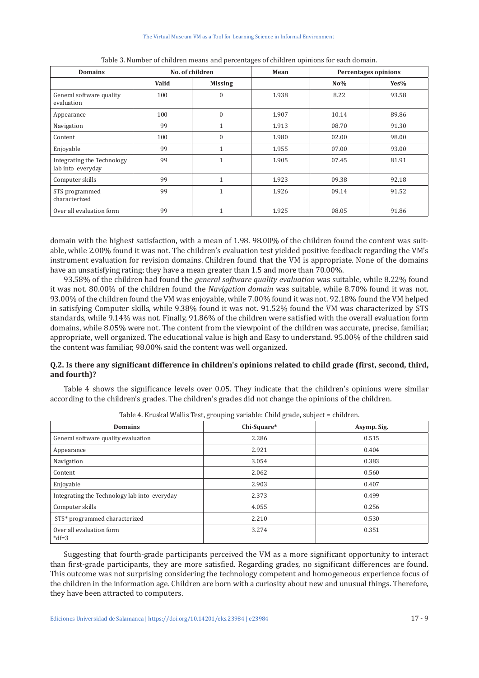| <b>Domains</b>                                  | No. of children |                | Mean  | <b>Percentages opinions</b> |         |
|-------------------------------------------------|-----------------|----------------|-------|-----------------------------|---------|
|                                                 | Valid           | <b>Missing</b> |       | $No\%$                      | $Yes\%$ |
| General software quality<br>evaluation          | 100             | $\theta$       | 1.938 | 8.22                        | 93.58   |
| Appearance                                      | 100             | $\mathbf{0}$   | 1.907 | 10.14                       | 89.86   |
| Navigation                                      | 99              | и              | 1.913 | 08.70                       | 91.30   |
| Content                                         | 100             | $\mathbf{0}$   | 1.980 | 02.00                       | 98.00   |
| Enjoyable                                       | 99              | 4              | 1.955 | 07.00                       | 93.00   |
| Integrating the Technology<br>lab into everyday | 99              | $\mathbf{1}$   | 1.905 | 07.45                       | 81.91   |
| Computer skills                                 | 99              | $\mathbf{1}$   | 1.923 | 09.38                       | 92.18   |
| STS programmed<br>characterized                 | 99              | 4              | 1.926 | 09.14                       | 91.52   |
| Over all evaluation form                        | 99              | и              | 1.925 | 08.05                       | 91.86   |

Table 3. Number of children means and percentages of children opinions for each domain.

domain with the highest satisfaction, with a mean of 1.98. 98.00% of the children found the content was suitable, while 2.00% found it was not. The children's evaluation test yielded positive feedback regarding the VM's instrument evaluation for revision domains. Children found that the VM is appropriate. None of the domains have an unsatisfying rating; they have a mean greater than 1.5 and more than 70.00%.

93.58% of the children had found the *general software quality evaluation* was suitable, while 8.22% found it was not. 80.00% of the children found the *Navigation domain* was suitable, while 8.70% found it was not. 93.00% of the children found the VM was enjoyable, while 7.00% found it was not. 92.18% found the VM helped in satisfying Computer skills, while 9.38% found it was not. 91.52% found the VM was characterized by STS standards, while 9.14% was not. Finally, 91.86% of the children were satisfied with the overall evaluation form domains, while 8.05% were not. The content from the viewpoint of the children was accurate, precise, familiar, appropriate, well organized. The educational value is high and Easy to understand. 95.00% of the children said the content was familiar, 98.00% said the content was well organized.

# **Q.2. Is there any significant difference in children's opinions related to child grade (first, second, third, and fourth)?**

Table 4 shows the significance levels over 0.05. They indicate that the children's opinions were similar according to the children's grades. The children's grades did not change the opinions of the children.

| <b>Domains</b>                               | Chi-Square* | Asymp. Sig. |
|----------------------------------------------|-------------|-------------|
| General software quality evaluation          | 2.286       | 0.515       |
| Appearance                                   | 2.921       | 0.404       |
| Navigation                                   | 3.054       | 0.383       |
| Content                                      | 2.062       | 0.560       |
| Enjoyable                                    | 2.903       | 0.407       |
| Integrating the Technology lab into everyday | 2.373       | 0.499       |
| Computer skills                              | 4.055       | 0.256       |
| STS* programmed characterized                | 2.210       | 0.530       |
| Over all evaluation form<br>$*df=3$          | 3.274       | 0.351       |

Table 4. Kruskal Wallis Test, grouping variable: Child grade, subject = children.

Suggesting that fourth-grade participants perceived the VM as a more significant opportunity to interact than first-grade participants, they are more satisfied. Regarding grades, no significant differences are found. This outcome was not surprising considering the technology competent and homogeneous experience focus of the children in the information age. Children are born with a curiosity about new and unusual things. Therefore, they have been attracted to computers.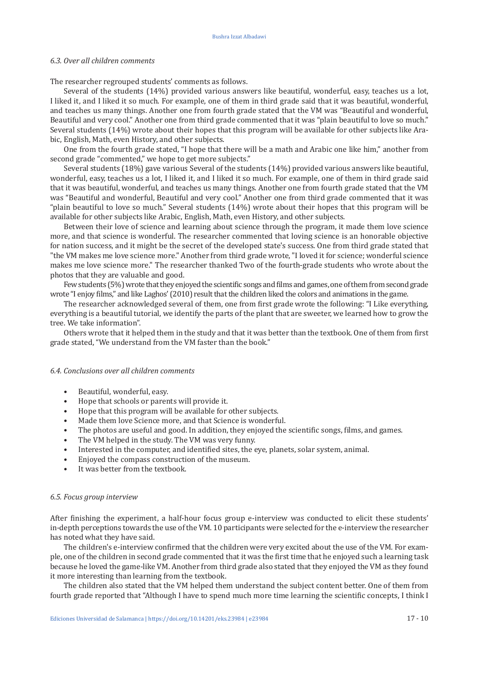#### *6.3. Over all children comments*

The researcher regrouped students' comments as follows.

Several of the students (14%) provided various answers like beautiful, wonderful, easy, teaches us a lot, I liked it, and I liked it so much. For example, one of them in third grade said that it was beautiful, wonderful, and teaches us many things. Another one from fourth grade stated that the VM was "Beautiful and wonderful, Beautiful and very cool." Another one from third grade commented that it was "plain beautiful to love so much." Several students (14%) wrote about their hopes that this program will be available for other subjects like Arabic, English, Math, even History, and other subjects.

One from the fourth grade stated, "I hope that there will be a math and Arabic one like him," another from second grade "commented," we hope to get more subjects."

Several students (18%) gave various Several of the students (14%) provided various answers like beautiful, wonderful, easy, teaches us a lot, I liked it, and I liked it so much. For example, one of them in third grade said that it was beautiful, wonderful, and teaches us many things. Another one from fourth grade stated that the VM was "Beautiful and wonderful, Beautiful and very cool." Another one from third grade commented that it was "plain beautiful to love so much." Several students (14%) wrote about their hopes that this program will be available for other subjects like Arabic, English, Math, even History, and other subjects.

Between their love of science and learning about science through the program, it made them love science more, and that science is wonderful. The researcher commented that loving science is an honorable objective for nation success, and it might be the secret of the developed state's success. One from third grade stated that "the VM makes me love science more." Another from third grade wrote, "I loved it for science; wonderful science makes me love science more." The researcher thanked Two of the fourth-grade students who wrote about the photos that they are valuable and good.

Few students (5%) wrote that they enjoyed the scientific songs and films and games, one of them from second grade wrote "I enjoy films," and like Laghos' (2010) result that the children liked the colors and animations in the game.

The researcher acknowledged several of them, one from first grade wrote the following: "I Like everything, everything is a beautiful tutorial, we identify the parts of the plant that are sweeter, we learned how to grow the tree. We take information".

Others wrote that it helped them in the study and that it was better than the textbook. One of them from first grade stated, "We understand from the VM faster than the book."

#### *6.4. Conclusions over all children comments*

- Beautiful, wonderful, easy.
- Hope that schools or parents will provide it.
- Hope that this program will be available for other subjects.
- Made them love Science more, and that Science is wonderful.<br>• The photos are useful and good. In addition, they enjoyed the
- The photos are useful and good. In addition, they enjoyed the scientific songs, films, and games.<br>• The VM helped in the study The VM was very funny
- The VM helped in the study. The VM was very funny.<br>• Interested in the computer and identified sites the e
- Interested in the computer, and identified sites, the eye, planets, solar system, animal.<br>• Enjoyed the compass construction of the museum
- Enjoyed the compass construction of the museum.<br>• It was better from the textbook
- It was better from the textbook.

#### *6.5. Focus group interview*

After finishing the experiment, a half-hour focus group e-interview was conducted to elicit these students' in-depth perceptions towards the use of the VM. 10 participants were selected for the e-interview the researcher has noted what they have said.

The children's e-interview confirmed that the children were very excited about the use of the VM. For example, one of the children in second grade commented that it was the first time that he enjoyed such a learning task because he loved the game-like VM. Another from third grade also stated that they enjoyed the VM as they found it more interesting than learning from the textbook.

The children also stated that the VM helped them understand the subject content better. One of them from fourth grade reported that "Although I have to spend much more time learning the scientific concepts, I think I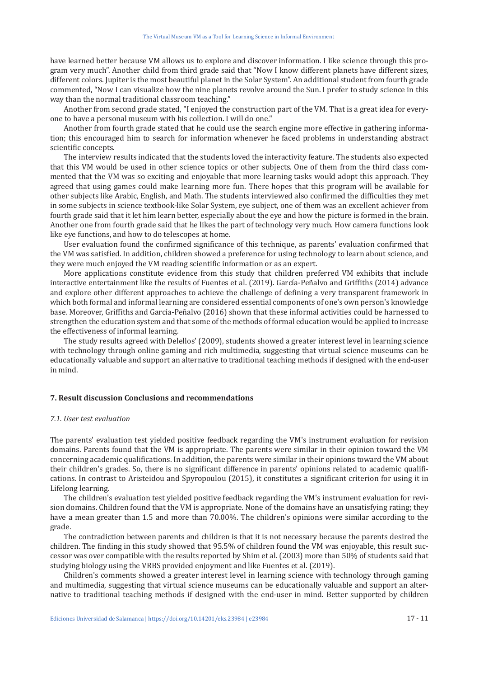have learned better because VM allows us to explore and discover information. I like science through this program very much". Another child from third grade said that "Now I know different planets have different sizes, different colors. Jupiter is the most beautiful planet in the Solar System". An additional student from fourth grade commented, "Now I can visualize how the nine planets revolve around the Sun. I prefer to study science in this way than the normal traditional classroom teaching."

Another from second grade stated, "I enjoyed the construction part of the VM. That is a great idea for everyone to have a personal museum with his collection. I will do one."

Another from fourth grade stated that he could use the search engine more effective in gathering information; this encouraged him to search for information whenever he faced problems in understanding abstract scientific concepts.

The interview results indicated that the students loved the interactivity feature. The students also expected that this VM would be used in other science topics or other subjects. One of them from the third class commented that the VM was so exciting and enjoyable that more learning tasks would adopt this approach. They agreed that using games could make learning more fun. There hopes that this program will be available for other subjects like Arabic, English, and Math. The students interviewed also confirmed the difficulties they met in some subjects in science textbook-like Solar System, eye subject, one of them was an excellent achiever from fourth grade said that it let him learn better, especially about the eye and how the picture is formed in the brain. Another one from fourth grade said that he likes the part of technology very much. How camera functions look like eye functions, and how to do telescopes at home.

User evaluation found the confirmed significance of this technique, as parents' evaluation confirmed that the VM was satisfied. In addition, children showed a preference for using technology to learn about science, and they were much enjoyed the VM reading scientific information or as an expert.

More applications constitute evidence from this study that children preferred VM exhibits that include interactive entertainment like the results of Fuentes et al. (2019). García-Peñalvo and Griffiths (2014) advance and explore other different approaches to achieve the challenge of defining a very transparent framework in which both formal and informal learning are considered essential components of one's own person's knowledge base. Moreover, Griffiths and García-Peñalvo (2016) shown that these informal activities could be harnessed to strengthen the education system and that some of the methods of formal education would be applied to increase the effectiveness of informal learning.

The study results agreed with Delellos' (2009), students showed a greater interest level in learning science with technology through online gaming and rich multimedia, suggesting that virtual science museums can be educationally valuable and support an alternative to traditional teaching methods if designed with the end-user in mind.

#### **7. Result discussion Conclusions and recommendations**

#### *7.1. User test evaluation*

The parents' evaluation test yielded positive feedback regarding the VM's instrument evaluation for revision domains. Parents found that the VM is appropriate. The parents were similar in their opinion toward the VM concerning academic qualifications. In addition, the parents were similar in their opinions toward the VM about their children's grades. So, there is no significant difference in parents' opinions related to academic qualifications. In contrast to Aristeidou and Spyropoulou (2015), it constitutes a significant criterion for using it in Lifelong learning.

The children's evaluation test yielded positive feedback regarding the VM's instrument evaluation for revision domains. Children found that the VM is appropriate. None of the domains have an unsatisfying rating; they have a mean greater than 1.5 and more than 70.00%. The children's opinions were similar according to the grade.

The contradiction between parents and children is that it is not necessary because the parents desired the children. The finding in this study showed that 95.5% of children found the VM was enjoyable, this result successor was over compatible with the results reported by Shim et al. (2003) more than 50% of students said that studying biology using the VRBS provided enjoyment and like Fuentes et al. (2019).

Children's comments showed a greater interest level in learning science with technology through gaming and multimedia, suggesting that virtual science museums can be educationally valuable and support an alternative to traditional teaching methods if designed with the end-user in mind. Better supported by children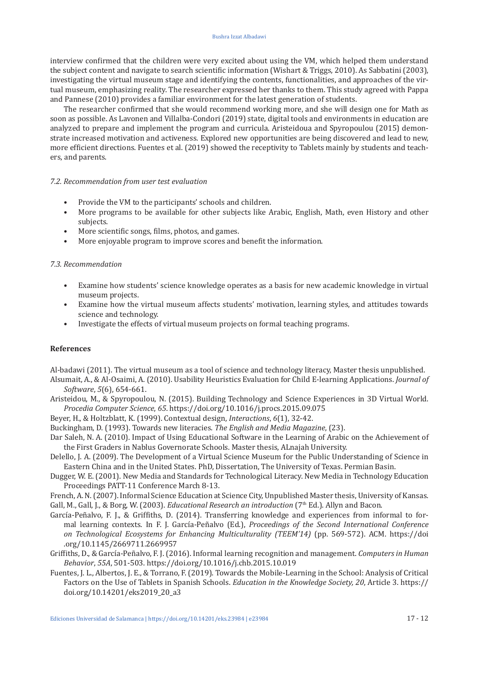#### Bushra Izzat Albadawi

interview confirmed that the children were very excited about using the VM, which helped them understand the subject content and navigate to search scientific information (Wishart & Triggs, 2010). As Sabbatini (2003), investigating the virtual museum stage and identifying the contents, functionalities, and approaches of the virtual museum, emphasizing reality. The researcher expressed her thanks to them. This study agreed with Pappa and Pannese (2010) provides a familiar environment for the latest generation of students.

The researcher confirmed that she would recommend working more, and she will design one for Math as soon as possible. As Lavonen and Villalba-Condori (2019) state, digital tools and environments in education are analyzed to prepare and implement the program and curricula. Aristeidoua and Spyropoulou (2015) demonstrate increased motivation and activeness. Explored new opportunities are being discovered and lead to new, more efficient directions. Fuentes et al. (2019) showed the receptivity to Tablets mainly by students and teachers, and parents.

## *7.2. Recommendation from user test evaluation*

- Provide the VM to the participants' schools and children.
- More programs to be available for other subjects like Arabic, English, Math, even History and other subjects.
- More scientific songs, films, photos, and games.
- More enjoyable program to improve scores and benefit the information.

## *7.3. Recommendation*

- Examine how students' science knowledge operates as a basis for new academic knowledge in virtual museum projects.
- Examine how the virtual museum affects students' motivation, learning styles, and attitudes towards science and technology.
- Investigate the effects of virtual museum projects on formal teaching programs.

#### **References**

Al-badawi (2011). The virtual museum as a tool of science and technology literacy, Master thesis unpublished.

- Alsumait, A., & Al-Osaimi, A. (2010). Usability Heuristics Evaluation for Child E-learning Applications. *Journal of Software*, *5*(6), 654-661.
- Aristeidou, M., & Spyropoulou, N. (2015). Building Technology and Science Experiences in 3D Virtual World. *Procedia Computer Science*, *65*. <https://doi.org/10.1016/j.procs.2015.09.075>
- Beyer, H., & Holtzblatt, K. (1999). Contextual design, *Interactions*, *6*(1), 32-42.
- Buckingham, D. (1993). Towards new literacies. *The English and Media Magazine*, (23).
- Dar Saleh, N. A. (2010). Impact of Using Educational Software in the Learning of Arabic on the Achievement of the First Graders in Nablus Governorate Schools. Master thesis, ALnajah University.
- Delello, J. A. (2009). The Development of a Virtual Science Museum for the Public Understanding of Science in Eastern China and in the United States. PhD, Dissertation, The University of Texas. Permian Basin.
- Dugger, W. E. (2001). New Media and Standards for Technological Literacy. New Media in Technology Education Proceedings PATT-11 Conference March 8-13.
- French, A. N. (2007). Informal Science Education at Science City, Unpublished Master thesis, University of Kansas. Gall, M., Gall, J., & Borg, W. (2003). *Educational Research an introduction* (7th Ed.). Allyn and Bacon.
- García-Peñalvo, F. J., & Griffiths, D. (2014). Transferring knowledge and experiences from informal to formal learning contexts. In F. J. García-Peñalvo (Ed.), *Proceedings of the Second International Conference on Technological Ecosystems for Enhancing Multiculturality (TEEM'14)* (pp. 569-572). ACM. [https://doi](https://doi.org/10.1145/2669711.2669957) [.org/10.1145/2669711.2669957](https://doi.org/10.1145/2669711.2669957)
- Griffiths, D., & García-Peñalvo, F. J. (2016). Informal learning recognition and management. *Computers in Human Behavior*, *55A*, 501-503. <https://doi.org/10.1016/j.chb.2015.10.019>
- Fuentes, J. L., Albertos, J. E., & Torrano, F. (2019). Towards the Mobile-Learning in the School: Analysis of Critical Factors on the Use of Tablets in Spanish Schools. *Education in the Knowledge Society, 20*, Article 3. [https://](https://doi.org/10.14201/eks2019_20_a3) [doi.org/10.14201/eks2019\\_20\\_a3](https://doi.org/10.14201/eks2019_20_a3)